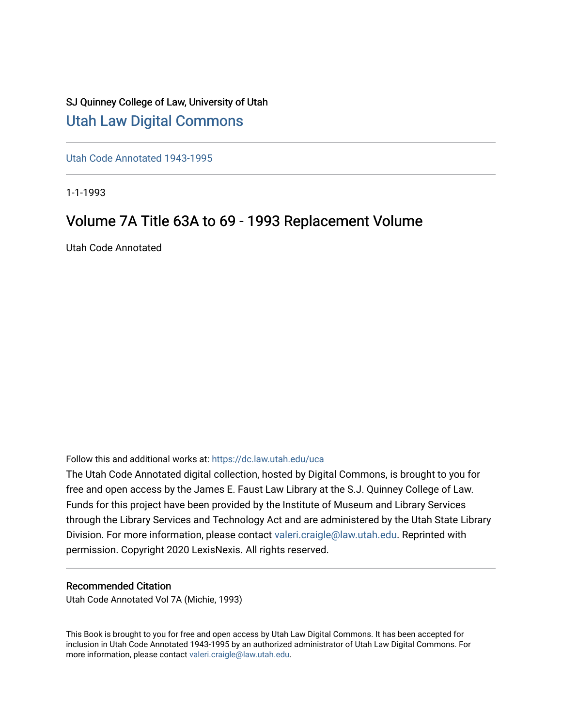## SJ Quinney College of Law, University of Utah [Utah Law Digital Commons](https://dc.law.utah.edu/)

[Utah Code Annotated 1943-1995](https://dc.law.utah.edu/uca) 

1-1-1993

## Volume 7A Title 63A to 69 - 1993 Replacement Volume

Utah Code Annotated

Follow this and additional works at: [https://dc.law.utah.edu/uca](https://dc.law.utah.edu/uca?utm_source=dc.law.utah.edu%2Fuca%2F434&utm_medium=PDF&utm_campaign=PDFCoverPages)

The Utah Code Annotated digital collection, hosted by Digital Commons, is brought to you for free and open access by the James E. Faust Law Library at the S.J. Quinney College of Law. Funds for this project have been provided by the Institute of Museum and Library Services through the Library Services and Technology Act and are administered by the Utah State Library Division. For more information, please contact [valeri.craigle@law.utah.edu.](mailto:valeri.craigle@law.utah.edu) Reprinted with permission. Copyright 2020 LexisNexis. All rights reserved.

#### Recommended Citation

Utah Code Annotated Vol 7A (Michie, 1993)

This Book is brought to you for free and open access by Utah Law Digital Commons. It has been accepted for inclusion in Utah Code Annotated 1943-1995 by an authorized administrator of Utah Law Digital Commons. For more information, please contact [valeri.craigle@law.utah.edu.](mailto:valeri.craigle@law.utah.edu)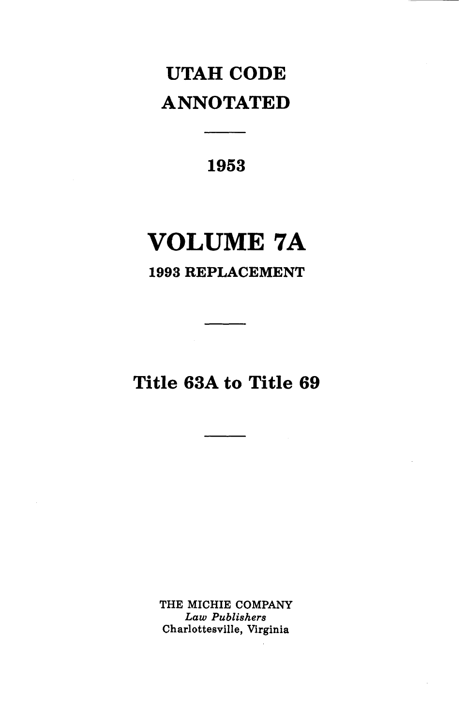# **UTAH CODE ANNOTATED**

**1953** 

**Contract Contract** 

# **VOLUME 7A**

## **1993 REPLACEMENT**

**Title 63A to Title 69** 

THE MICHIE COMPANY *Law Publishers*  Charlottesville, Virginia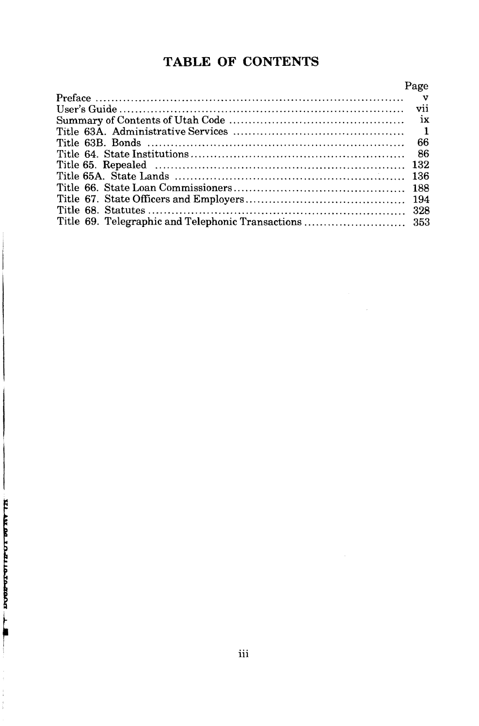## **TABLE OF CONTENTS**

| Page |
|------|
|      |
|      |
|      |
|      |
| 66   |
|      |
|      |
|      |
|      |
|      |
|      |
|      |

 $\sim$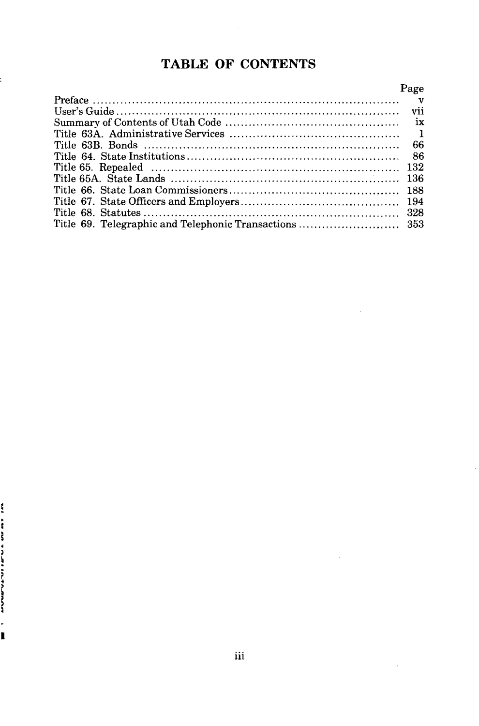## **TABLE OF CONTENTS**

| Page |
|------|
|      |
|      |
|      |
|      |
| 66   |
|      |
|      |
|      |
|      |
|      |
|      |
|      |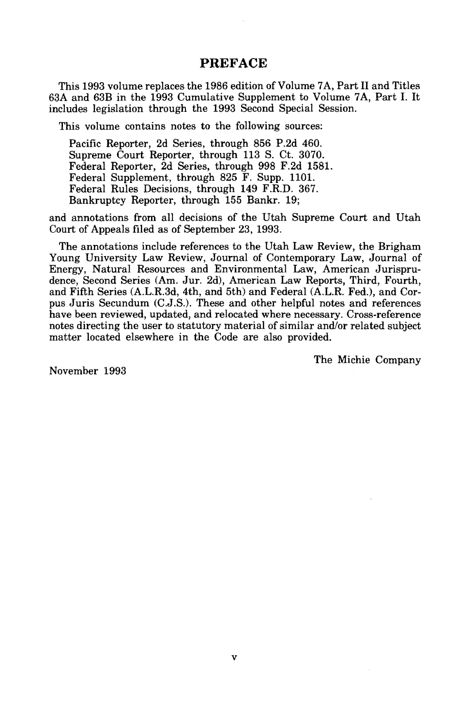#### **PREFACE**

This 1993 volume replaces the 1986 edition of Volume 7A, Part II and Titles 63A and 63B in the 1993 Cumulative Supplement to Volume 7A, Part I. It includes legislation through the 1993 Second Special Session.

This volume contains notes to the following sources:

Pacific Reporter, 2d Series, through 856 P.2d 460. Supreme Court Reporter, through 113 S. Ct. 3070. Federal Reporter, 2d Series, through 998 F.2d 1581. Federal Supplement, through 825 F. Supp. 1101. Federal Rules Decisions, through 149 F.R.D. 367. Bankruptcy Reporter, through 155 Bankr. 19;

and annotations from all decisions of the Utah Supreme Court and Utah Court of Appeals filed as of September 23, 1993.

The annotations include references to the Utah Law Review, the Brigham Young University Law Review, Journal of Contemporary Law, Journal of Energy, Natural Resources and Environmental Law, American Jurisprudence, Second Series (Am. Jur. 2d), American Law Reports, Third, Fourth, and Fifth Series (A.L.R.3d, 4th, and 5th) and Federal (A.L.R. Fed.), and Corpus Juris Secundum (C.J.S.). These and other helpful notes and references have been reviewed, updated, and relocated where necessary. Cross-reference notes directing the user to statutory material of similar and/or related subject matter located elsewhere in the Code are also provided.

The Michie Company

November 1993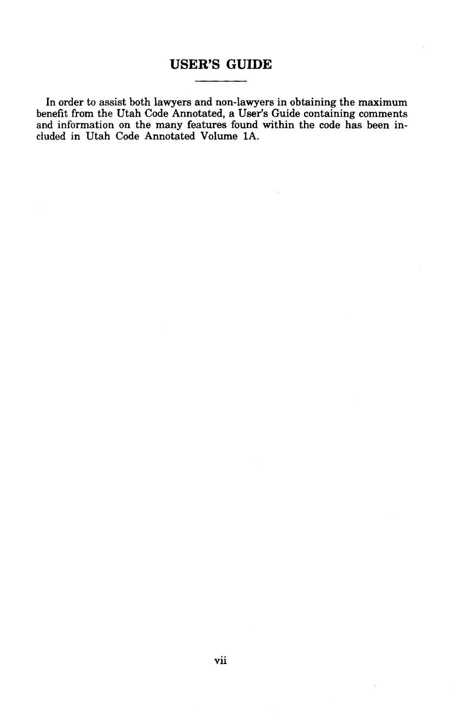### **USER'S GUIDE**

In order to assist both lawyers and non-lawyers in obtaining the maximum benefit from the Utah Code Annotated, a User's Guide containing comments and information on the many features found within the code has been included in Utah Code Annotated Volume lA.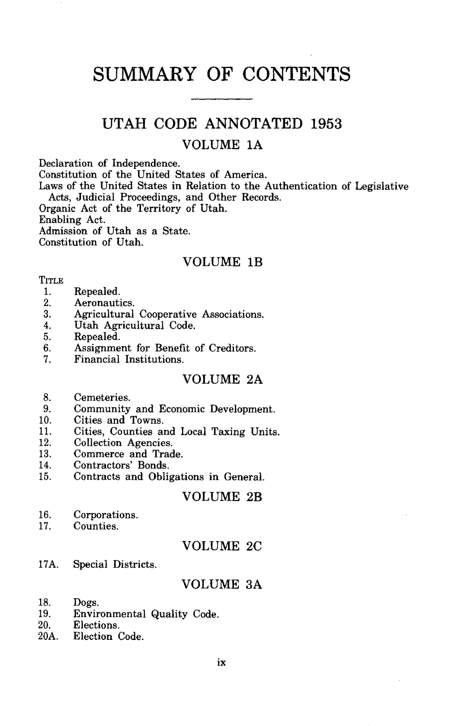## **SUMMARY OF CONTENTS**

### **UTAH CODE ANNOTATED 1953**

#### VOLUME lA

Declaration of Independence.

Constitution of the United States of America.

Laws of the United States in Relation to the Authentication of Legislative Acts, Judicial Proceedings, and Other Records.

Organic Act of the Territory of Utah. Enabling Act.

Admission of Utah as a State.

Constitution of Utah.

#### VOLUME lB

#### **TITLE**

- 1. Repealed.<br>2. Aeronauti
- 2. Aeronautics.<br>3. Agricultural
- 3. Agricultural Cooperative Associations.
- 4. Utah Agricultural Code.
- 5. Repealed.<br>6. Assignme
- 6. Assignment for Benefit of Creditors.<br>7. Financial Institutions.
- Financial Institutions.

#### VOLUME 2A

- 8. Cemeteries.<br>9. Community
- 9. Community and Economic Development.<br>10. Cities and Towns.
- 10. Cities and Towns.<br>11. Cities. Counties an
- 11. Cities, Counties and Local Taxing Units.<br>12. Collection Agencies.
- 12. Collection Agencies.<br>13. Commerce and Trad
- 13. Commerce and Trade.<br>14. Contractors' Bonds.
- 14. Contractors' Bonds.<br>15. Contracts and Oblis
- Contracts and Obligations in General.

#### VOLUME 2B

- 16. Corporations.<br>17. Counties.
- Counties.

#### VOLUME 2C

17A. Special Districts.

#### VOLUME 3A

- 18. Dogs.<br>19. Envir
- 19. Environmental Quality Code.<br>20. Elections.
- 20. Elections.<br>20A. Election (
- Election Code.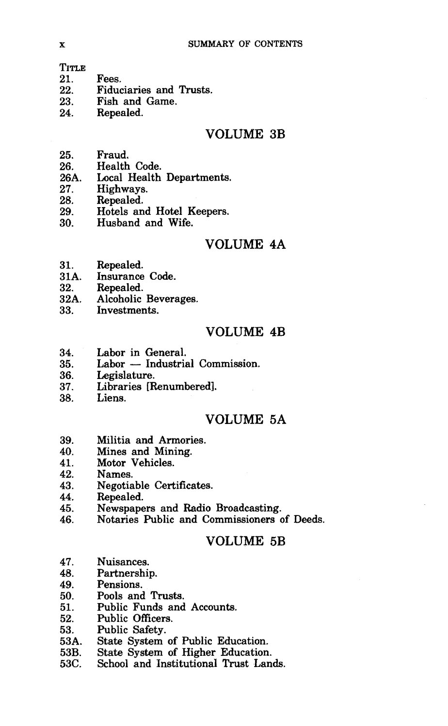TITLE<br>21.

- 21. Fees.<br>22. Fiduc
- 22. Fiduciaries and Trusts.<br>23. Fish and Game.
- 23. Fish and Game.<br>24. Repealed.
- Repealed.

#### VOLUME 3B

- 25. Fraud.
- 
- 26. Health Code.<br>26A. Local Health 26A. Local Health Departments.<br>27. Highways.
- 27. Highways.<br>28. Repealed.
- 28. Repealed.<br>29. Hotels and
- 29. Hotels and Hotel Keepers.<br>30. Husband and Wife.
- 30. Husband and **Wife.**

#### VOLUME 4A

- 31. Repealed.<br>31A. Insurance
- 31A. Insurance Code.
- 
- 32. Repealed.<br>32A. Alcoholic 32A. Alcoholic Beverages.<br>33. Investments.
- Investments.

#### VOLUME 4B

- 34. Labor in General.<br>35. Labor Industria
- 35. Labor Industrial Commission.<br>36. Legislature.
- 36. Legislature.<br>37. Libraries [R
- Libraries [Renumbered].
- 38. Liens.

#### VOLUME 5A

- 39. Militia and Armories.<br>40. Mines and Mining.
- Mines and Mining.
- 41. Motor Vehicles.<br>42. Names.
- 42. Names.<br>43. Negotia
- 43. Negotiable Certificates.<br>44. Repealed.
- 44. Repealed.<br>45. Newspape
- 45. Newspapers and Radio Broadcasting.<br>46. Notaries Public and Commissioners o
- 46. Notaries Public and Commissioners of Deeds.

#### VOLUME 5B

- 47. Nuisances.<br>48. Partnershi
- 48. Partnership.
- 49. Pensions.
- 50. Pools and Trusts.<br>51. Public Funds and
- 51. Public Funds and Accounts.<br>52. Public Officers.
- 52. Public Officers.<br>53. Public Safety.
- 53. Public Safety.<br>53A. State System
- 53A. State System of Public Education.<br>53B. State System of Higher Education.
- 53B. State System of Higher Education.<br>53C. School and Institutional Trust Lan
- School and Institutional Trust Lands.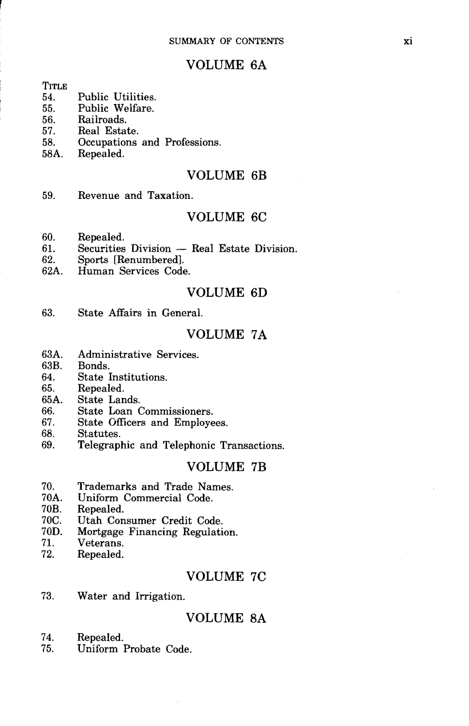#### VOLUME 6A

# TITLE<br>54

- 54. Public Utilities.<br>55. Public Welfare.
- 55. Public Welfare.<br>56. Railroads.
- 56. Railroads.
- 57. Real Estate.<br>58. Occupations
- 58. Occupations and Professions.<br>58A. Repealed.
- Repealed.

#### VOLUME 6B

59. Revenue and Taxation.

#### VOLUME 6C

- 60. Repealed.<br>61. Securities
- 61. Securities Division Real Estate Division.<br>62. Sports [Repumbered].
- 62. Sports [Renumbered].<br>62A. Human Services Code
- Human Services Code.

#### VOLUME 6D

63. State Affairs in General.

#### VOLUME 7A

- 63A. Administrative Services.<br>63B. Bonds.
- 63B. Bonds.
- 64. State Institutions.<br>65. Repealed.
- 65. Repealed.<br>65A. State Lan
- 65A. State Lands.
- 66. State Loan Commissioners.<br>67. State Officers and Employe
- 67. State Officers and Employees.<br>68. Statutes.
- 68. Statutes.
- Telegraphic and Telephonic Transactions.

#### VOLUME 7B

- 70. Trademarks and Trade Names.
- 70A. Uniform Commercial Code.
- 70B. Repealed.<br>70C. Utah Con
- 70C. Utah Consumer Credit Code.
- 70D. Mortgage Financing Regulation.
- 71. Veterans.<br>72. Repealed.
- Repealed.

#### VOLUME 7C

73. Water and Irrigation.

#### VOLUME *BA*

- 74. Repealed.<br>75. Uniform
- Uniform Probate Code.